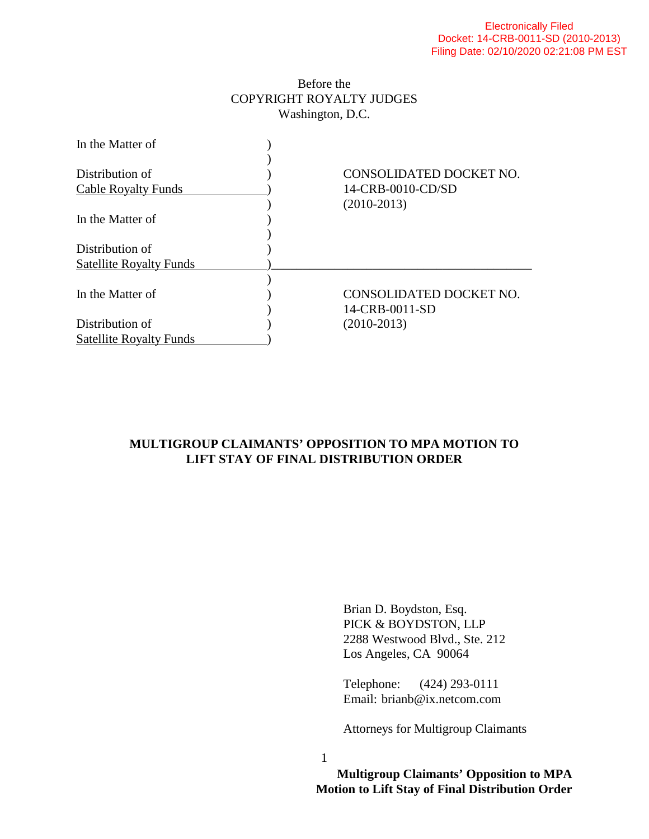## Before the COPYRIGHT ROYALTY JUDGES Washington, D.C.



## **MULTIGROUP CLAIMANTS' OPPOSITION TO MPA MOTION TO LIFT STAY OF FINAL DISTRIBUTION ORDER**

 Brian D. Boydston, Esq. PICK & BOYDSTON, LLP 2288 Westwood Blvd., Ste. 212 Los Angeles, CA 90064

 Telephone: (424) 293-0111 Email: brianb@ix.netcom.com

Attorneys for Multigroup Claimants

1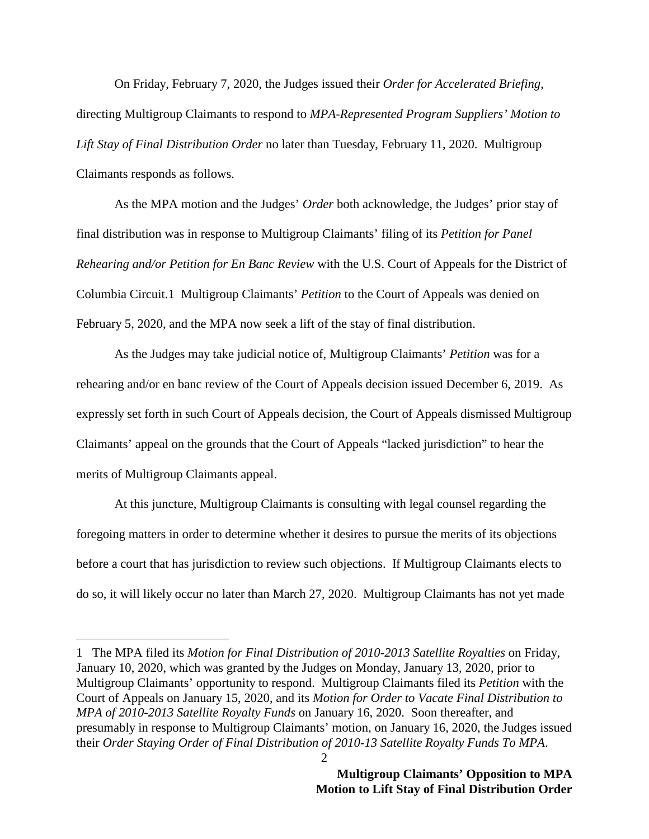On Friday, February 7, 2020, the Judges issued their *Order for Accelerated Briefing*, directing Multigroup Claimants to respond to *MPA-Represented Program Suppliers' Motion to Lift Stay of Final Distribution Order* no later than Tuesday, February 11, 2020. Multigroup Claimants responds as follows.

 As the MPA motion and the Judges' *Order* both acknowledge, the Judges' prior stay of final distribution was in response to Multigroup Claimants' filing of its *Petition for Panel Rehearing and/or Petition for En Banc Review* with the U.S. Court of Appeals for the District of Columbia Circuit.1 Multigroup Claimants' *Petition* to the Court of Appeals was denied on February 5, 2020, and the MPA now seek a lift of the stay of final distribution.

 As the Judges may take judicial notice of, Multigroup Claimants' *Petition* was for a rehearing and/or en banc review of the Court of Appeals decision issued December 6, 2019. As expressly set forth in such Court of Appeals decision, the Court of Appeals dismissed Multigroup Claimants' appeal on the grounds that the Court of Appeals "lacked jurisdiction" to hear the merits of Multigroup Claimants appeal.

 At this juncture, Multigroup Claimants is consulting with legal counsel regarding the foregoing matters in order to determine whether it desires to pursue the merits of its objections before a court that has jurisdiction to review such objections. If Multigroup Claimants elects to do so, it will likely occur no later than March 27, 2020. Multigroup Claimants has not yet made

-

<sup>1</sup> The MPA filed its *Motion for Final Distribution of 2010-2013 Satellite Royalties* on Friday, January 10, 2020, which was granted by the Judges on Monday, January 13, 2020, prior to Multigroup Claimants' opportunity to respond. Multigroup Claimants filed its *Petition* with the Court of Appeals on January 15, 2020, and its *Motion for Order to Vacate Final Distribution to MPA of 2010-2013 Satellite Royalty Funds* on January 16, 2020. Soon thereafter, and presumably in response to Multigroup Claimants' motion, on January 16, 2020, the Judges issued their *Order Staying Order of Final Distribution of 2010-13 Satellite Royalty Funds To MPA*.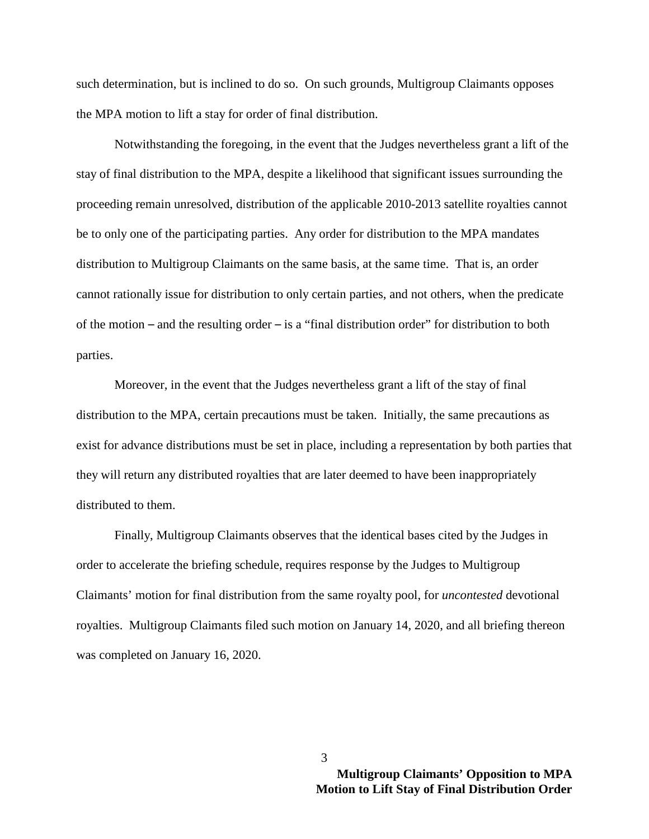such determination, but is inclined to do so. On such grounds, Multigroup Claimants opposes the MPA motion to lift a stay for order of final distribution.

 Notwithstanding the foregoing, in the event that the Judges nevertheless grant a lift of the stay of final distribution to the MPA, despite a likelihood that significant issues surrounding the proceeding remain unresolved, distribution of the applicable 2010-2013 satellite royalties cannot be to only one of the participating parties. Any order for distribution to the MPA mandates distribution to Multigroup Claimants on the same basis, at the same time. That is, an order cannot rationally issue for distribution to only certain parties, and not others, when the predicate of the motion – and the resulting order – is a "final distribution order" for distribution to both parties.

 Moreover, in the event that the Judges nevertheless grant a lift of the stay of final distribution to the MPA, certain precautions must be taken. Initially, the same precautions as exist for advance distributions must be set in place, including a representation by both parties that they will return any distributed royalties that are later deemed to have been inappropriately distributed to them.

 Finally, Multigroup Claimants observes that the identical bases cited by the Judges in order to accelerate the briefing schedule, requires response by the Judges to Multigroup Claimants' motion for final distribution from the same royalty pool, for *uncontested* devotional royalties. Multigroup Claimants filed such motion on January 14, 2020, and all briefing thereon was completed on January 16, 2020.

3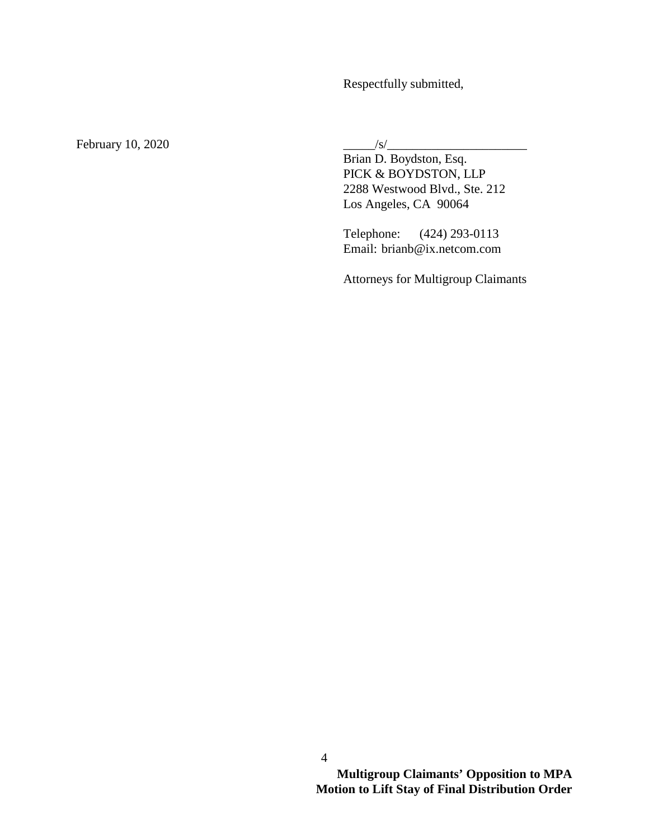Respectfully submitted,

February 10, 2020  $\frac{1}{s}$ 

 Brian D. Boydston, Esq. PICK & BOYDSTON, LLP 2288 Westwood Blvd., Ste. 212 Los Angeles, CA 90064

 Telephone: (424) 293-0113 Email: brianb@ix.netcom.com

Attorneys for Multigroup Claimants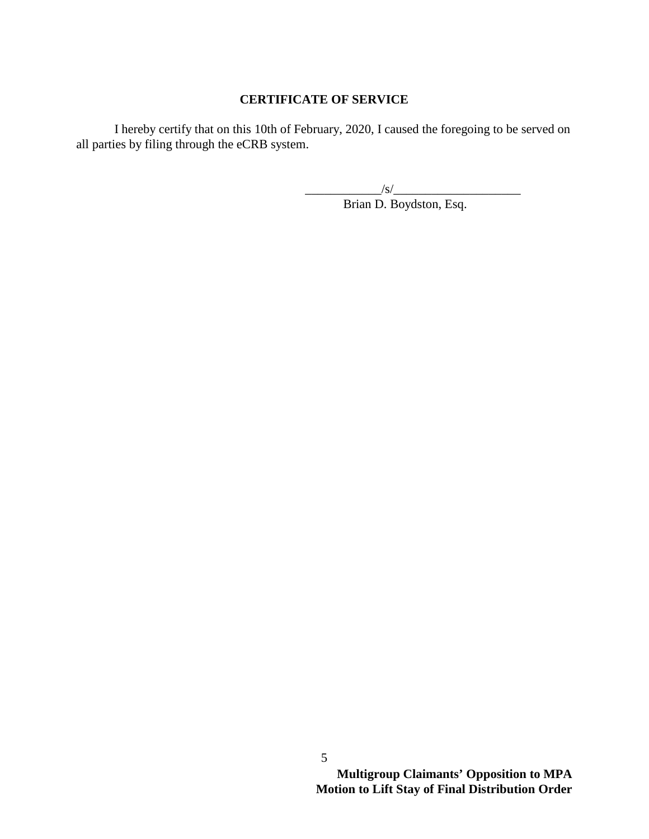## **CERTIFICATE OF SERVICE**

 I hereby certify that on this 10th of February, 2020, I caused the foregoing to be served on all parties by filing through the eCRB system.

 $\frac{1}{\sqrt{S}}$ 

Brian D. Boydston, Esq.